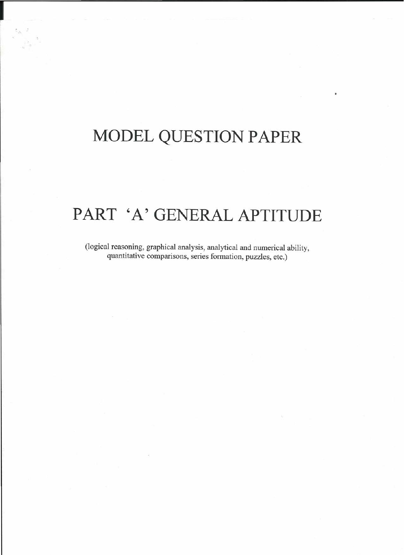## **MODEL QUESTION PAPER**

**I**

## **PART 'A' GENERAL APTITUDE**

(logical reasoning, graphical analysis, analytical and numerical ability, quantitative comparisons, series formation, puzzles, etc.)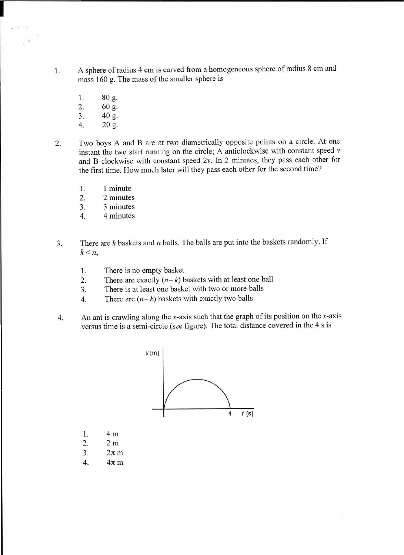1. A sphere of radius 4 cm is carved from a homogeneous sphere of radius 8 cm and mass 160 g. The mass of the smaller sphere is

1. 80 g. 2. 60 g.

3. 40 g.

- 4. 20 g.
- 

2. Two boys A and B are at two diametrically opposite points on a circle. At one instant the two start running on the circle; A anticlockwise with constant speed  $\nu$ and B clockwise with constant speed *2v.* In 2 minutes, they pass each other for the first time. How much later will they pass each other for the second time?

- 1. 1 minute
- 2. 2 minutes
- 3. 3 minutes
- 4. 4 minutes
- 3. There are *k* baskets and *n* balls. The balls are put into the baskets randomly. If  $k < n$ ,
	- 1. There is no empty basket
	- 2. There are exactly  $(n-k)$  baskets with at least one ball
	- 3. There is at least one basket with two or more balls
	- 4. There are  $(n-k)$  baskets with exactly two balls
- 4. An ant is crawling along the x-axis such that the graph of its position on the x-axis versus time is a semi-circle (see figure). The total distance covered in the 4 s is



- 1. 4 m
- 2. 2m
- *3. 2nm*
- *4. 4nm*

**I**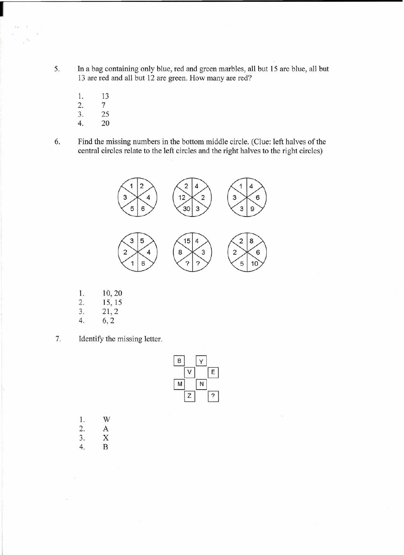5. In a bag containing only blue, red and green marbles, all but 15 are blue, all but 13 are red and all but 12 are green. How many are red?

- 1. 13 2. 7
- 3. 25
- 4. 20
- 6. Find the missing numbers in the bottom middle circle. (Clue: left halves of the central circles relate to the left circles and the right halves to the right circles)



- 1. 10,20
- 2. 15, 15
- 3. 21,2
- 4. 6,2
- 7. Identify the missing letter.

|  | B                 |
|--|-------------------|
|  | F<br>M            |
|  | $2.3 - 0.1 - 0.0$ |

1. W 2. A 3. X 4. B

**I**

 $\bar{z}$ ik 2

×.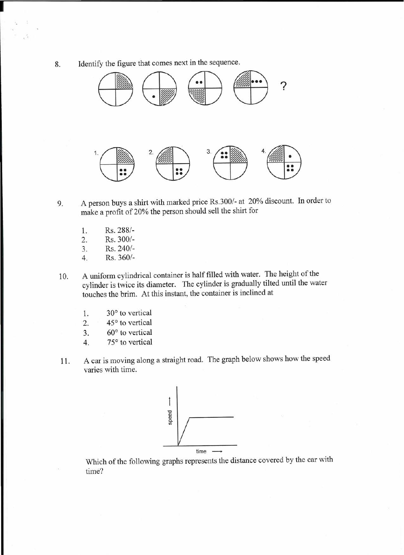8. Identify the figure that comes next in the sequence.



**1'-----------------------------------------**

- 9. A person buys a shirt with marked price Rs.300/- at 20% discount. In order to make a profit of 20% the person should sell the shirt for
	- 1. Rs.288/-
	- 2. Rs.300/-
	- 3. Rs.240/-
	- 4. Rs.360/-
- 10. A uniform cylindrical container is half filled with water. The height of the cylinder is twice its diameter. The cylinder is gradually tilted until the water touches the brim. At this instant, the container is inclined at
	- 1. 30° to vertical
	- 2. 45° to vertical
	- 3. 60° to vertical
	- 4. 75° to vertical
- 11. A car is moving along a straight road. The graph below shows how the speed varies with time.



Which of the following graphs represents the distance covered by the car with time?

'.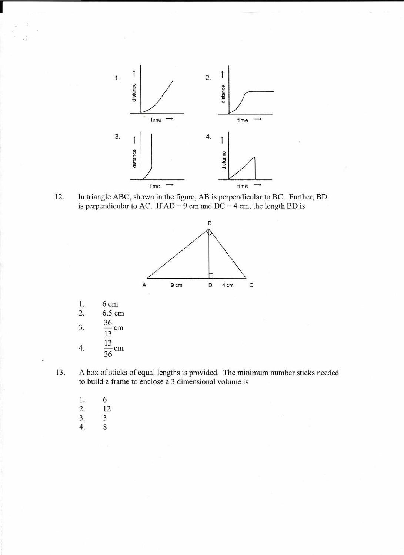

is perpendicular to AC. If  $AD = 9$  cm and  $DC = 4$  cm, the length BD is



| 6 cm   |
|--------|
| 6.5 cm |
| cm     |
| cm     |

**I**

13. A box of sticks of equal lengths is provided. The minimum number sticks needed to build a frame to enclose a 3 dimensional volume is

1. 6 2. 12 3. 3 4. 8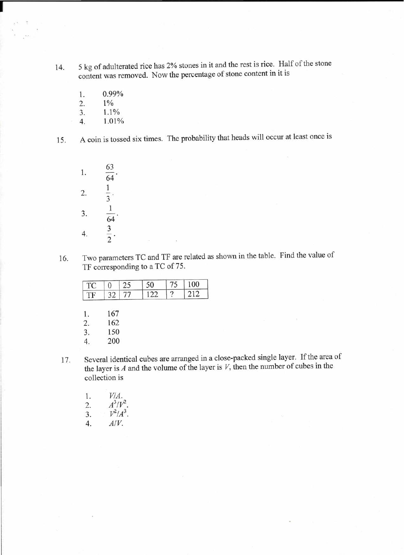- 14. 5 kg of adulterated rice has 2% stones in it and the rest is rice. Half of the stone content was removed. Now the percentage of stone content in it is
	- 1. 0.99%

**---------------------------------------**

- 2. 1%
- 3. 1.1%
- 4. 1.01%

**11**

15. A coin is tossed six times. The probability that heads will occur at least once is

| 1. | 63<br>$\overline{64}$   |
|----|-------------------------|
| 2. | $\overline{\mathbf{3}}$ |
| 3. | 64                      |
|    |                         |

16. Two parameters TC and TF are related as shown in the table. Find the value of TF corresponding to a TC of 75.

| TC                     |            | 25 | 50  | 75 | 100 |
|------------------------|------------|----|-----|----|-----|
| TF                     | 32         | 77 | 122 | 2  | 212 |
|                        |            |    |     |    |     |
|                        |            |    |     |    |     |
|                        |            |    |     |    |     |
| Ŀ.                     | 167        |    |     |    |     |
| $\overline{2}$ .<br>3. | 162<br>150 |    |     |    |     |

- 17. Several identical cubes are arranged in a close-packed single layer. If the area of the layer is *A* and the volume of the layer is *V,* then the number of cubes in the collection is
	- 1. *V/A.* 2.  $A^3/V^2$ 3.  $V^2/A^3$ . *4. A/V.*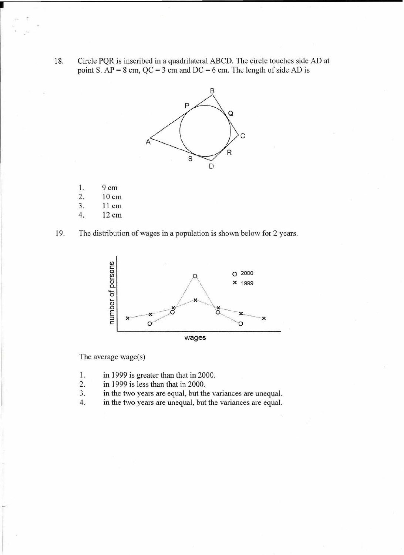18. Circle PQR is inscribed in a quadrilateral ABCD. The circle touches side AD at point S.  $AP = 8$  cm,  $QC = 3$  cm and  $DC = 6$  cm. The length of side AD is



- 1. 9cm
- 2. 10 cm
- 3. 11 cm
- 4. 12 cm





The average wage $(s)$ 

- 1. in 1999 is greater than that in 2000.
- 2. in 1999 is less than that in 2000.
- 3. in the two years are equal, but the variances are unequal.
- 4. in the two years are unequal, but the variances are equal.